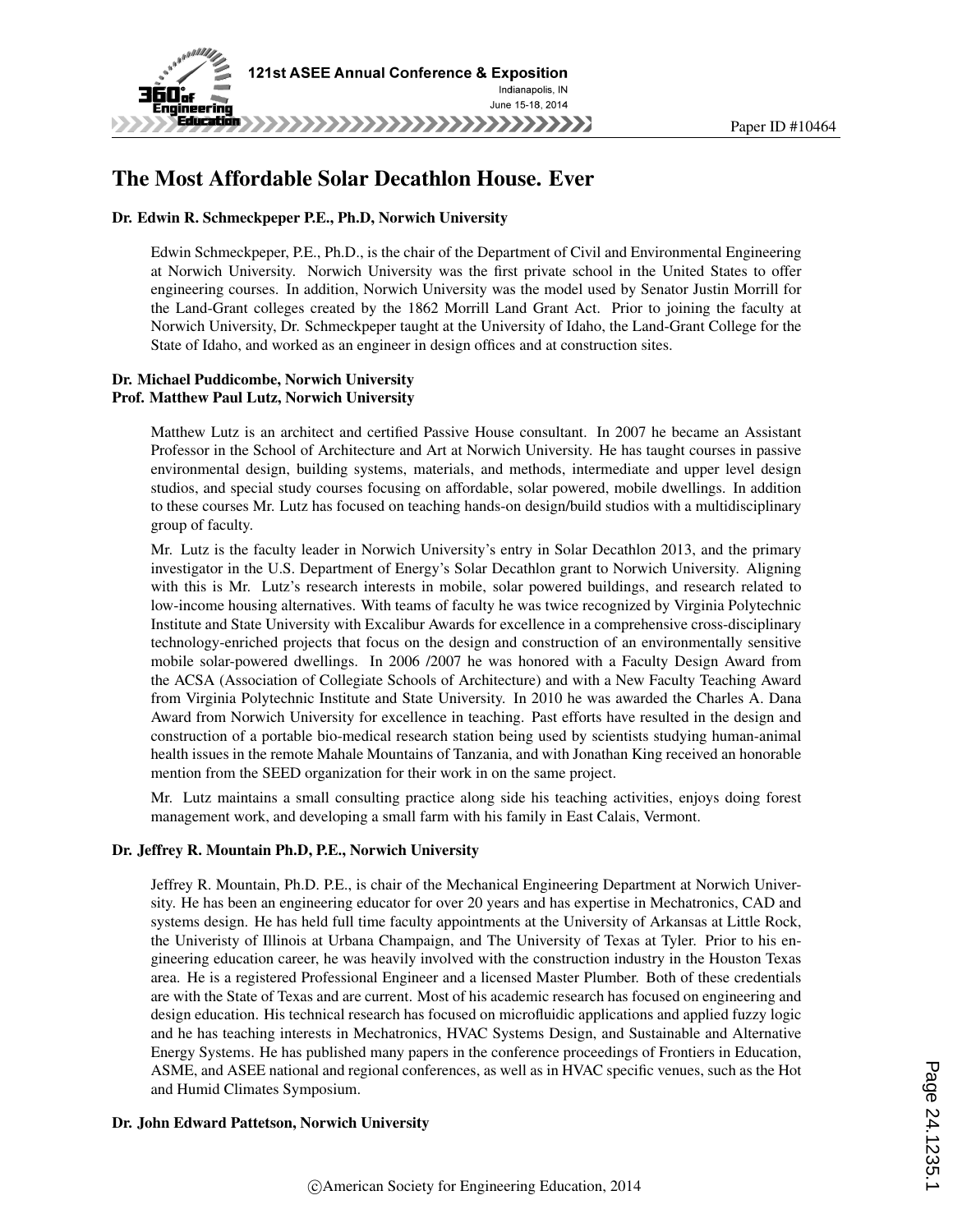

## The Most Affordable Solar Decathlon House. Ever

#### Dr. Edwin R. Schmeckpeper P.E., Ph.D, Norwich University

Edwin Schmeckpeper, P.E., Ph.D., is the chair of the Department of Civil and Environmental Engineering at Norwich University. Norwich University was the first private school in the United States to offer engineering courses. In addition, Norwich University was the model used by Senator Justin Morrill for the Land-Grant colleges created by the 1862 Morrill Land Grant Act. Prior to joining the faculty at Norwich University, Dr. Schmeckpeper taught at the University of Idaho, the Land-Grant College for the State of Idaho, and worked as an engineer in design offices and at construction sites.

#### Dr. Michael Puddicombe, Norwich University Prof. Matthew Paul Lutz, Norwich University

Matthew Lutz is an architect and certified Passive House consultant. In 2007 he became an Assistant Professor in the School of Architecture and Art at Norwich University. He has taught courses in passive environmental design, building systems, materials, and methods, intermediate and upper level design studios, and special study courses focusing on affordable, solar powered, mobile dwellings. In addition to these courses Mr. Lutz has focused on teaching hands-on design/build studios with a multidisciplinary group of faculty.

Mr. Lutz is the faculty leader in Norwich University's entry in Solar Decathlon 2013, and the primary investigator in the U.S. Department of Energy's Solar Decathlon grant to Norwich University. Aligning with this is Mr. Lutz's research interests in mobile, solar powered buildings, and research related to low-income housing alternatives. With teams of faculty he was twice recognized by Virginia Polytechnic Institute and State University with Excalibur Awards for excellence in a comprehensive cross-disciplinary technology-enriched projects that focus on the design and construction of an environmentally sensitive mobile solar-powered dwellings. In 2006 /2007 he was honored with a Faculty Design Award from the ACSA (Association of Collegiate Schools of Architecture) and with a New Faculty Teaching Award from Virginia Polytechnic Institute and State University. In 2010 he was awarded the Charles A. Dana Award from Norwich University for excellence in teaching. Past efforts have resulted in the design and construction of a portable bio-medical research station being used by scientists studying human-animal health issues in the remote Mahale Mountains of Tanzania, and with Jonathan King received an honorable mention from the SEED organization for their work in on the same project.

Mr. Lutz maintains a small consulting practice along side his teaching activities, enjoys doing forest management work, and developing a small farm with his family in East Calais, Vermont.

#### Dr. Jeffrey R. Mountain Ph.D, P.E., Norwich University

Jeffrey R. Mountain, Ph.D. P.E., is chair of the Mechanical Engineering Department at Norwich University. He has been an engineering educator for over 20 years and has expertise in Mechatronics, CAD and systems design. He has held full time faculty appointments at the University of Arkansas at Little Rock, the Univeristy of Illinois at Urbana Champaign, and The University of Texas at Tyler. Prior to his engineering education career, he was heavily involved with the construction industry in the Houston Texas area. He is a registered Professional Engineer and a licensed Master Plumber. Both of these credentials are with the State of Texas and are current. Most of his academic research has focused on engineering and design education. His technical research has focused on microfluidic applications and applied fuzzy logic and he has teaching interests in Mechatronics, HVAC Systems Design, and Sustainable and Alternative Energy Systems. He has published many papers in the conference proceedings of Frontiers in Education, ASME, and ASEE national and regional conferences, as well as in HVAC specific venues, such as the Hot and Humid Climates Symposium.

#### Dr. John Edward Pattetson, Norwich University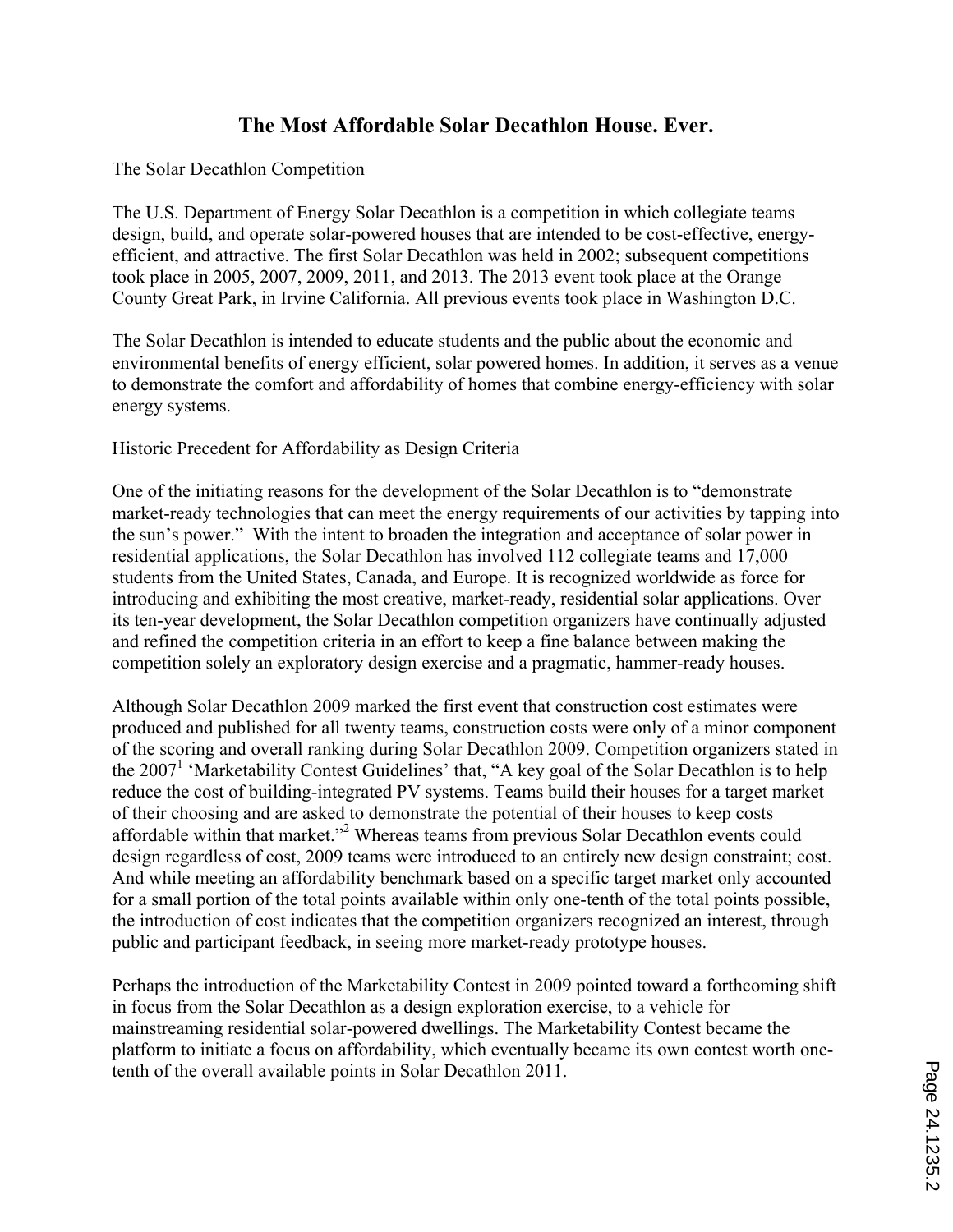# **The Most Affordable Solar Decathlon House. Ever.**

### The Solar Decathlon Competition

The U.S. Department of Energy Solar Decathlon is a competition in which collegiate teams design, build, and operate solar-powered houses that are intended to be cost-effective, energyefficient, and attractive. The first Solar Decathlon was held in 2002; subsequent competitions took place in 2005, 2007, 2009, 2011, and 2013. The 2013 event took place at the Orange County Great Park, in Irvine California. All previous events took place in Washington D.C.

The Solar Decathlon is intended to educate students and the public about the economic and environmental benefits of energy efficient, solar powered homes. In addition, it serves as a venue to demonstrate the comfort and affordability of homes that combine energy-efficiency with solar energy systems.

Historic Precedent for Affordability as Design Criteria

One of the initiating reasons for the development of the Solar Decathlon is to "demonstrate market-ready technologies that can meet the energy requirements of our activities by tapping into the sun's power." With the intent to broaden the integration and acceptance of solar power in residential applications, the Solar Decathlon has involved 112 collegiate teams and 17,000 students from the United States, Canada, and Europe. It is recognized worldwide as force for introducing and exhibiting the most creative, market-ready, residential solar applications. Over its ten-year development, the Solar Decathlon competition organizers have continually adjusted and refined the competition criteria in an effort to keep a fine balance between making the competition solely an exploratory design exercise and a pragmatic, hammer-ready houses.

Although Solar Decathlon 2009 marked the first event that construction cost estimates were produced and published for all twenty teams, construction costs were only of a minor component of the scoring and overall ranking during Solar Decathlon 2009. Competition organizers stated in the 2007<sup>1</sup> 'Marketability Contest Guidelines' that, "A key goal of the Solar Decathlon is to help reduce the cost of building-integrated PV systems. Teams build their houses for a target market of their choosing and are asked to demonstrate the potential of their houses to keep costs affordable within that market."<sup>2</sup> Whereas teams from previous Solar Decathlon events could design regardless of cost, 2009 teams were introduced to an entirely new design constraint; cost. And while meeting an affordability benchmark based on a specific target market only accounted for a small portion of the total points available within only one-tenth of the total points possible, the introduction of cost indicates that the competition organizers recognized an interest, through public and participant feedback, in seeing more market-ready prototype houses.

Perhaps the introduction of the Marketability Contest in 2009 pointed toward a forthcoming shift in focus from the Solar Decathlon as a design exploration exercise, to a vehicle for mainstreaming residential solar-powered dwellings. The Marketability Contest became the platform to initiate a focus on affordability, which eventually became its own contest worth onetenth of the overall available points in Solar Decathlon 2011.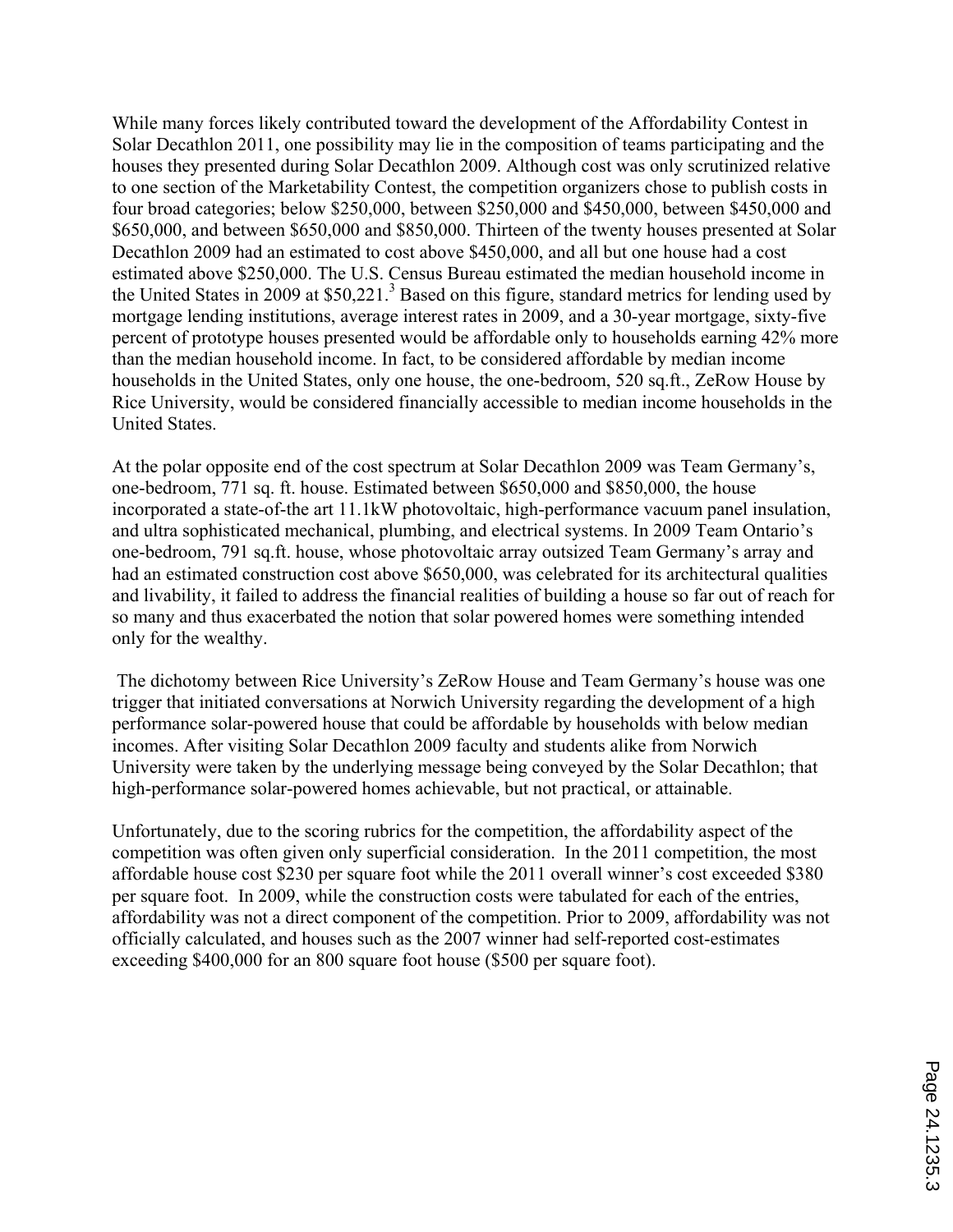While many forces likely contributed toward the development of the Affordability Contest in Solar Decathlon 2011, one possibility may lie in the composition of teams participating and the houses they presented during Solar Decathlon 2009. Although cost was only scrutinized relative to one section of the Marketability Contest, the competition organizers chose to publish costs in four broad categories; below \$250,000, between \$250,000 and \$450,000, between \$450,000 and \$650,000, and between \$650,000 and \$850,000. Thirteen of the twenty houses presented at Solar Decathlon 2009 had an estimated to cost above \$450,000, and all but one house had a cost estimated above \$250,000. The U.S. Census Bureau estimated the median household income in the United States in 2009 at  $$50,221$ .<sup>3</sup> Based on this figure, standard metrics for lending used by mortgage lending institutions, average interest rates in 2009, and a 30-year mortgage, sixty-five percent of prototype houses presented would be affordable only to households earning 42% more than the median household income. In fact, to be considered affordable by median income households in the United States, only one house, the one-bedroom, 520 sq.ft., ZeRow House by Rice University, would be considered financially accessible to median income households in the United States.

At the polar opposite end of the cost spectrum at Solar Decathlon 2009 was Team Germany's, one-bedroom, 771 sq. ft. house. Estimated between \$650,000 and \$850,000, the house incorporated a state-of-the art 11.1kW photovoltaic, high-performance vacuum panel insulation, and ultra sophisticated mechanical, plumbing, and electrical systems. In 2009 Team Ontario's one-bedroom, 791 sq.ft. house, whose photovoltaic array outsized Team Germany's array and had an estimated construction cost above \$650,000, was celebrated for its architectural qualities and livability, it failed to address the financial realities of building a house so far out of reach for so many and thus exacerbated the notion that solar powered homes were something intended only for the wealthy.

 The dichotomy between Rice University's ZeRow House and Team Germany's house was one trigger that initiated conversations at Norwich University regarding the development of a high performance solar-powered house that could be affordable by households with below median incomes. After visiting Solar Decathlon 2009 faculty and students alike from Norwich University were taken by the underlying message being conveyed by the Solar Decathlon; that high-performance solar-powered homes achievable, but not practical, or attainable.

Unfortunately, due to the scoring rubrics for the competition, the affordability aspect of the competition was often given only superficial consideration. In the 2011 competition, the most affordable house cost \$230 per square foot while the 2011 overall winner's cost exceeded \$380 per square foot. In 2009, while the construction costs were tabulated for each of the entries, affordability was not a direct component of the competition. Prior to 2009, affordability was not officially calculated, and houses such as the 2007 winner had self-reported cost-estimates exceeding \$400,000 for an 800 square foot house (\$500 per square foot).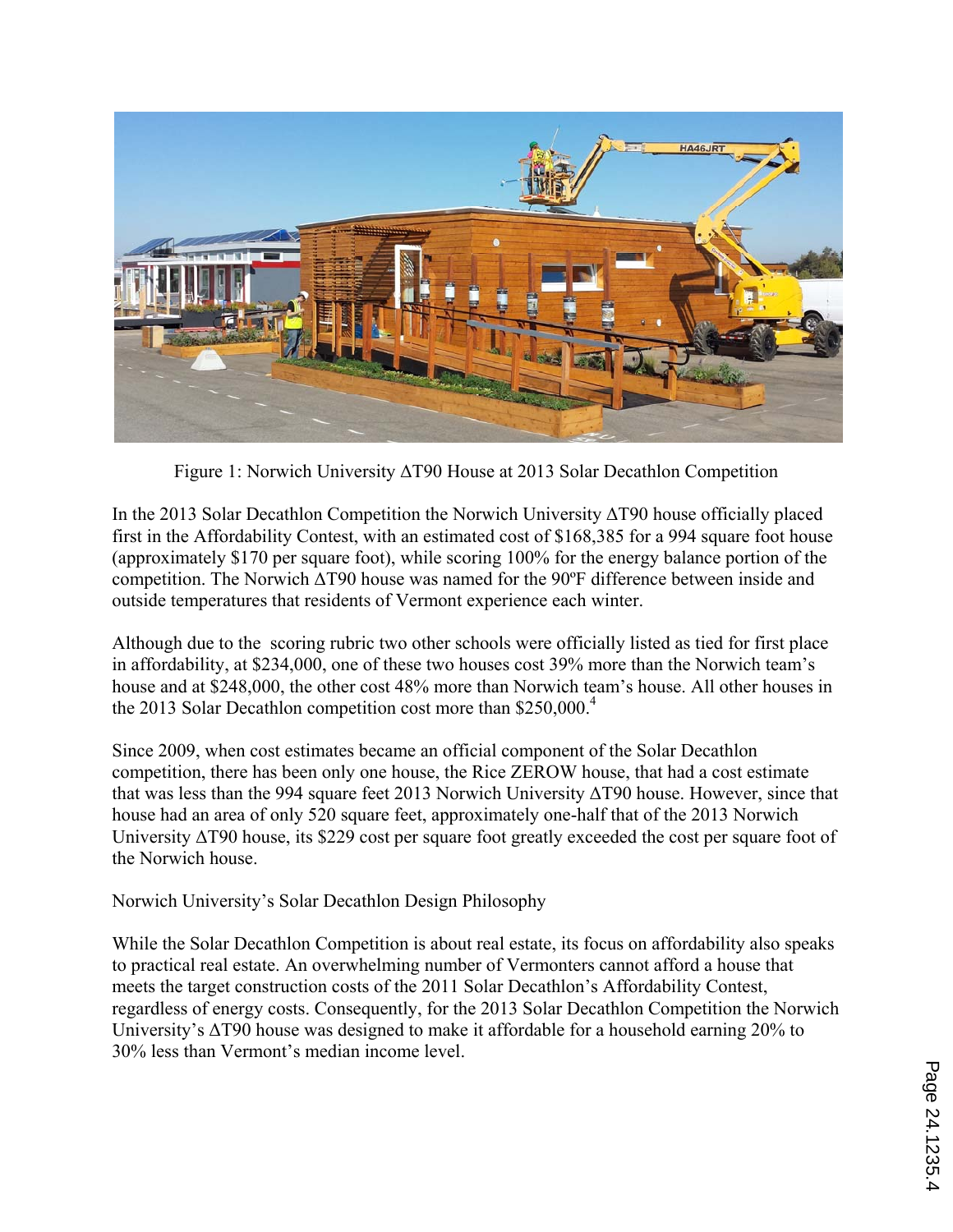

Figure 1: Norwich University ΔT90 House at 2013 Solar Decathlon Competition

In the 2013 Solar Decathlon Competition the Norwich University ΔT90 house officially placed first in the Affordability Contest, with an estimated cost of \$168,385 for a 994 square foot house (approximately \$170 per square foot), while scoring 100% for the energy balance portion of the competition. The Norwich ΔT90 house was named for the 90ºF difference between inside and outside temperatures that residents of Vermont experience each winter.

Although due to the scoring rubric two other schools were officially listed as tied for first place in affordability, at \$234,000, one of these two houses cost 39% more than the Norwich team's house and at \$248,000, the other cost 48% more than Norwich team's house. All other houses in the 2013 Solar Decathlon competition cost more than \$250,000.<sup>4</sup>

Since 2009, when cost estimates became an official component of the Solar Decathlon competition, there has been only one house, the Rice ZEROW house, that had a cost estimate that was less than the 994 square feet 2013 Norwich University ΔT90 house. However, since that house had an area of only 520 square feet, approximately one-half that of the 2013 Norwich University ΔT90 house, its \$229 cost per square foot greatly exceeded the cost per square foot of the Norwich house.

Norwich University's Solar Decathlon Design Philosophy

While the Solar Decathlon Competition is about real estate, its focus on affordability also speaks to practical real estate. An overwhelming number of Vermonters cannot afford a house that meets the target construction costs of the 2011 Solar Decathlon's Affordability Contest, regardless of energy costs. Consequently, for the 2013 Solar Decathlon Competition the Norwich University's ΔT90 house was designed to make it affordable for a household earning 20% to 30% less than Vermont's median income level.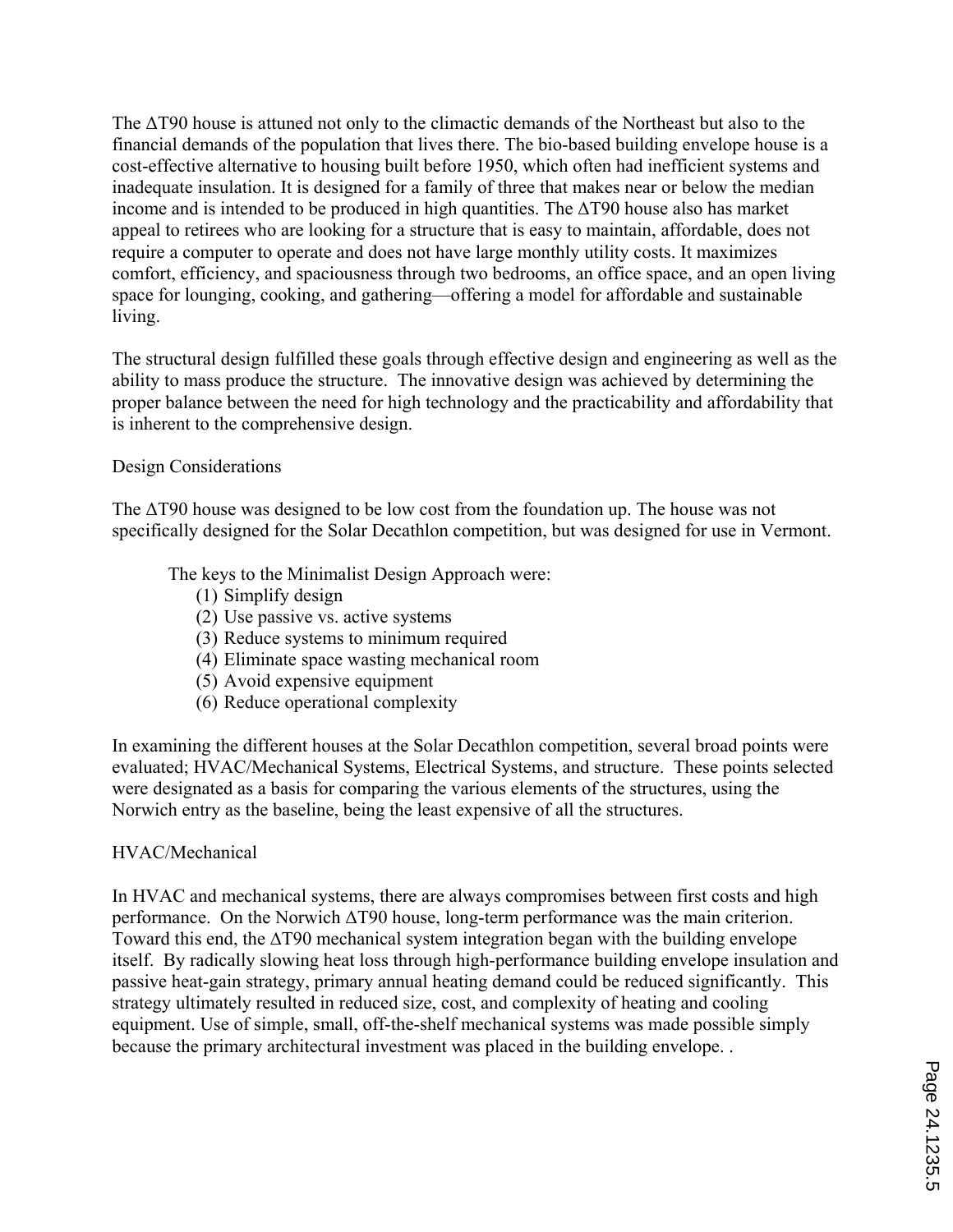The ΔT90 house is attuned not only to the climactic demands of the Northeast but also to the financial demands of the population that lives there. The bio-based building envelope house is a cost-effective alternative to housing built before 1950, which often had inefficient systems and inadequate insulation. It is designed for a family of three that makes near or below the median income and is intended to be produced in high quantities. The ΔT90 house also has market appeal to retirees who are looking for a structure that is easy to maintain, affordable, does not require a computer to operate and does not have large monthly utility costs. It maximizes comfort, efficiency, and spaciousness through two bedrooms, an office space, and an open living space for lounging, cooking, and gathering—offering a model for affordable and sustainable living.

The structural design fulfilled these goals through effective design and engineering as well as the ability to mass produce the structure. The innovative design was achieved by determining the proper balance between the need for high technology and the practicability and affordability that is inherent to the comprehensive design.

### Design Considerations

The ΔT90 house was designed to be low cost from the foundation up. The house was not specifically designed for the Solar Decathlon competition, but was designed for use in Vermont.

The keys to the Minimalist Design Approach were:

- (1) Simplify design
- (2) Use passive vs. active systems
- (3) Reduce systems to minimum required
- (4) Eliminate space wasting mechanical room
- (5) Avoid expensive equipment
- (6) Reduce operational complexity

In examining the different houses at the Solar Decathlon competition, several broad points were evaluated; HVAC/Mechanical Systems, Electrical Systems, and structure. These points selected were designated as a basis for comparing the various elements of the structures, using the Norwich entry as the baseline, being the least expensive of all the structures.

### HVAC/Mechanical

In HVAC and mechanical systems, there are always compromises between first costs and high performance. On the Norwich ΔT90 house, long-term performance was the main criterion. Toward this end, the ∆T90 mechanical system integration began with the building envelope itself. By radically slowing heat loss through high-performance building envelope insulation and passive heat-gain strategy, primary annual heating demand could be reduced significantly. This strategy ultimately resulted in reduced size, cost, and complexity of heating and cooling equipment. Use of simple, small, off-the-shelf mechanical systems was made possible simply because the primary architectural investment was placed in the building envelope. .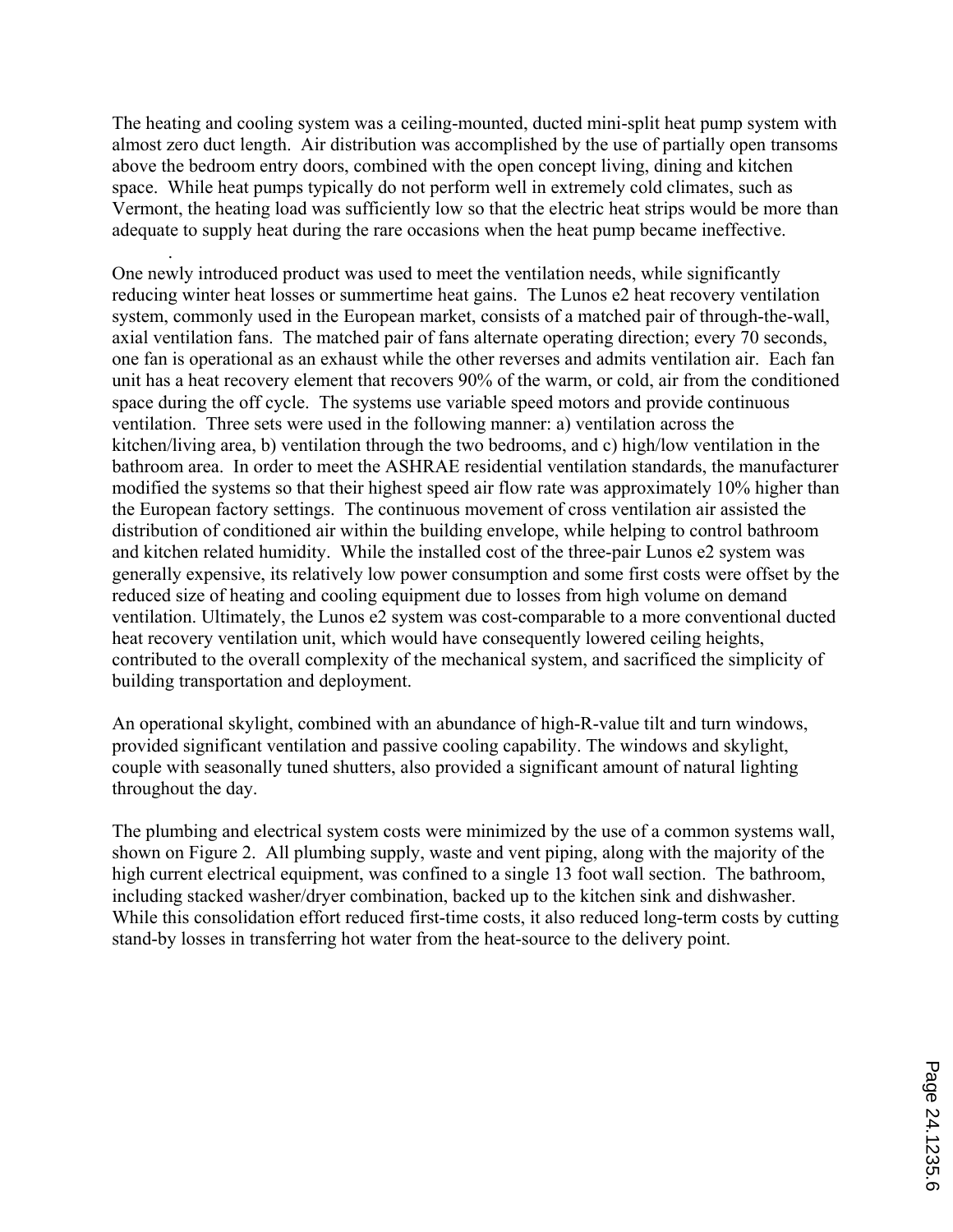The heating and cooling system was a ceiling-mounted, ducted mini-split heat pump system with almost zero duct length. Air distribution was accomplished by the use of partially open transoms above the bedroom entry doors, combined with the open concept living, dining and kitchen space. While heat pumps typically do not perform well in extremely cold climates, such as Vermont, the heating load was sufficiently low so that the electric heat strips would be more than adequate to supply heat during the rare occasions when the heat pump became ineffective.

.

One newly introduced product was used to meet the ventilation needs, while significantly reducing winter heat losses or summertime heat gains. The Lunos e2 heat recovery ventilation system, commonly used in the European market, consists of a matched pair of through-the-wall, axial ventilation fans. The matched pair of fans alternate operating direction; every 70 seconds, one fan is operational as an exhaust while the other reverses and admits ventilation air. Each fan unit has a heat recovery element that recovers 90% of the warm, or cold, air from the conditioned space during the off cycle. The systems use variable speed motors and provide continuous ventilation. Three sets were used in the following manner: a) ventilation across the kitchen/living area, b) ventilation through the two bedrooms, and c) high/low ventilation in the bathroom area. In order to meet the ASHRAE residential ventilation standards, the manufacturer modified the systems so that their highest speed air flow rate was approximately 10% higher than the European factory settings. The continuous movement of cross ventilation air assisted the distribution of conditioned air within the building envelope, while helping to control bathroom and kitchen related humidity. While the installed cost of the three-pair Lunos e2 system was generally expensive, its relatively low power consumption and some first costs were offset by the reduced size of heating and cooling equipment due to losses from high volume on demand ventilation. Ultimately, the Lunos e2 system was cost-comparable to a more conventional ducted heat recovery ventilation unit, which would have consequently lowered ceiling heights, contributed to the overall complexity of the mechanical system, and sacrificed the simplicity of building transportation and deployment.

An operational skylight, combined with an abundance of high-R-value tilt and turn windows, provided significant ventilation and passive cooling capability. The windows and skylight, couple with seasonally tuned shutters, also provided a significant amount of natural lighting throughout the day.

The plumbing and electrical system costs were minimized by the use of a common systems wall, shown on Figure 2. All plumbing supply, waste and vent piping, along with the majority of the high current electrical equipment, was confined to a single 13 foot wall section. The bathroom, including stacked washer/dryer combination, backed up to the kitchen sink and dishwasher. While this consolidation effort reduced first-time costs, it also reduced long-term costs by cutting stand-by losses in transferring hot water from the heat-source to the delivery point.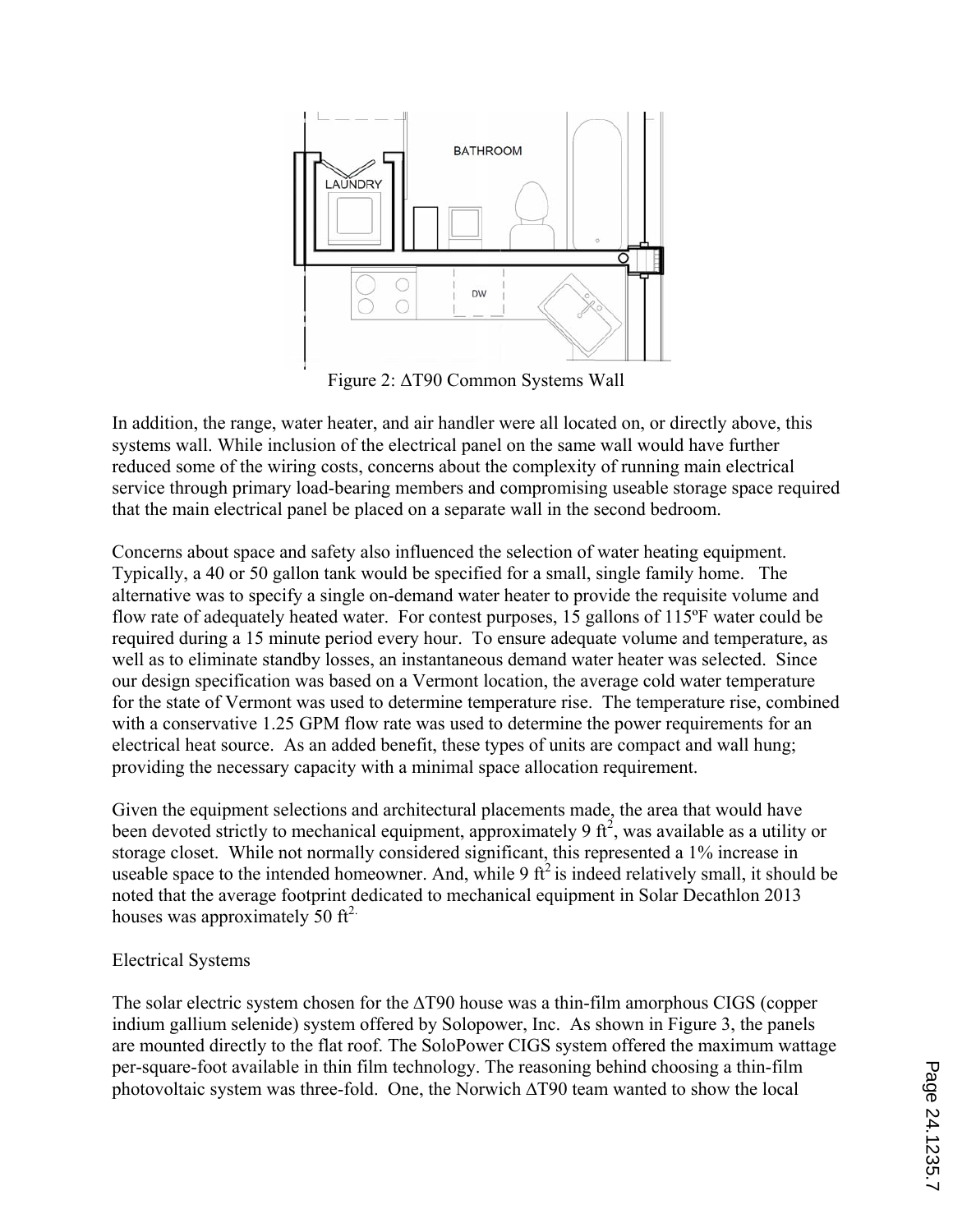

Figure 2: ΔT90 Common Systems Wall

In addition, the range, water heater, and air handler were all located on, or directly above, this systems wall. While inclusion of the electrical panel on the same wall would have further reduced some of the wiring costs, concerns about the complexity of running main electrical service through primary load-bearing members and compromising useable storage space required that the main electrical panel be placed on a separate wall in the second bedroom.

Concerns about space and safety also influenced the selection of water heating equipment. Typically, a 40 or 50 gallon tank would be specified for a small, single family home. The alternative was to specify a single on-demand water heater to provide the requisite volume and flow rate of adequately heated water. For contest purposes, 15 gallons of 115ºF water could be required during a 15 minute period every hour. To ensure adequate volume and temperature, as well as to eliminate standby losses, an instantaneous demand water heater was selected. Since our design specification was based on a Vermont location, the average cold water temperature for the state of Vermont was used to determine temperature rise. The temperature rise, combined with a conservative 1.25 GPM flow rate was used to determine the power requirements for an electrical heat source. As an added benefit, these types of units are compact and wall hung; providing the necessary capacity with a minimal space allocation requirement.

Given the equipment selections and architectural placements made, the area that would have been devoted strictly to mechanical equipment, approximately 9  $ft^2$ , was available as a utility or storage closet. While not normally considered significant, this represented a 1% increase in useable space to the intended homeowner. And, while 9  $\hat{\pi}^2$  is indeed relatively small, it should be noted that the average footprint dedicated to mechanical equipment in Solar Decathlon 2013 houses was approximately 50  $\text{ft}^2$ .

## Electrical Systems

The solar electric system chosen for the  $\Delta$ T90 house was a thin-film amorphous CIGS (copper indium gallium selenide) system offered by Solopower, Inc. As shown in Figure 3, the panels are mounted directly to the flat roof. The SoloPower CIGS system offered the maximum wattage per-square-foot available in thin film technology. The reasoning behind choosing a thin-film photovoltaic system was three-fold. One, the Norwich ∆T90 team wanted to show the local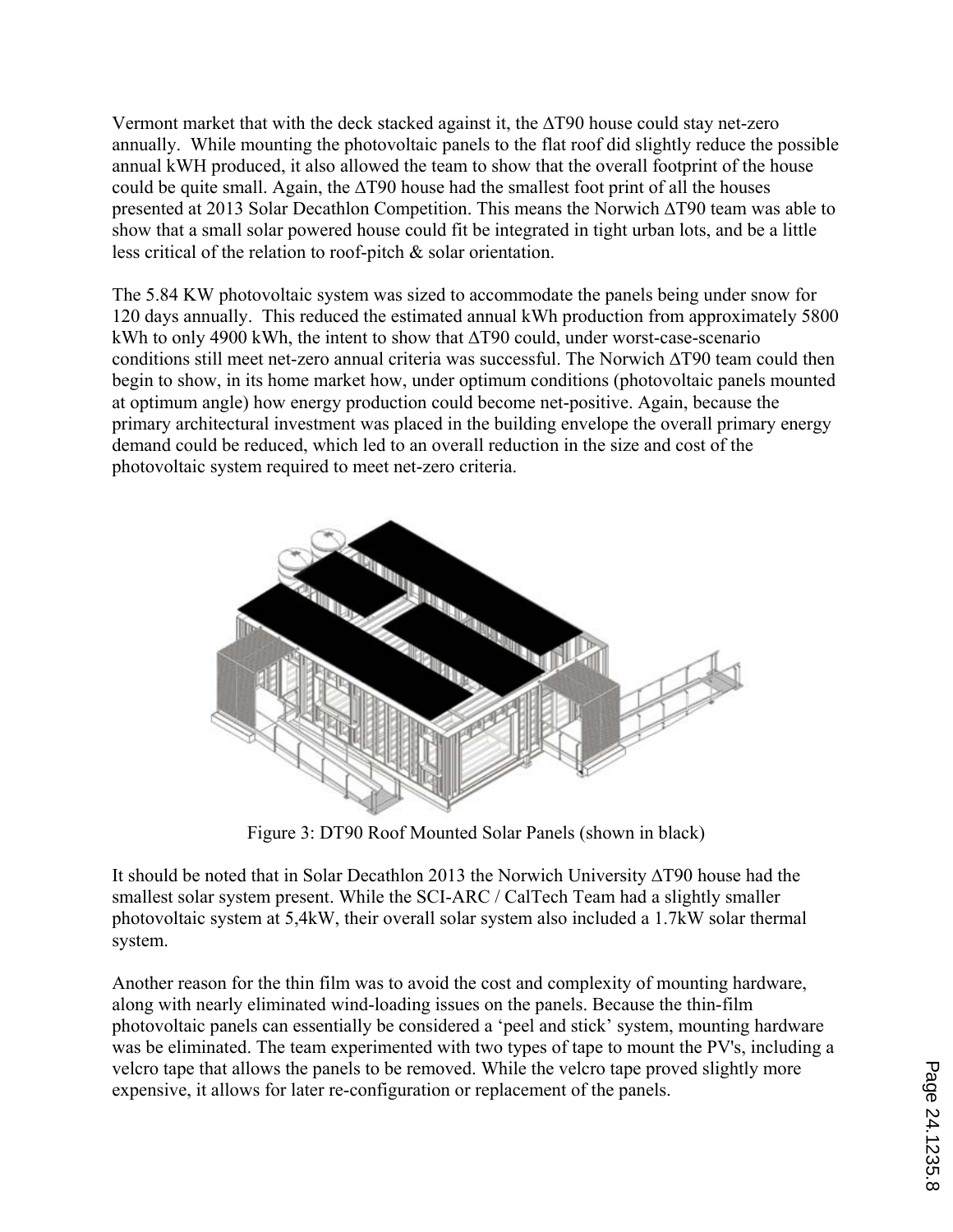Vermont market that with the deck stacked against it, the ∆T90 house could stay net-zero annually. While mounting the photovoltaic panels to the flat roof did slightly reduce the possible annual kWH produced, it also allowed the team to show that the overall footprint of the house could be quite small. Again, the ∆T90 house had the smallest foot print of all the houses presented at 2013 Solar Decathlon Competition. This means the Norwich ∆T90 team was able to show that a small solar powered house could fit be integrated in tight urban lots, and be a little less critical of the relation to roof-pitch & solar orientation.

The 5.84 KW photovoltaic system was sized to accommodate the panels being under snow for 120 days annually. This reduced the estimated annual kWh production from approximately 5800 kWh to only 4900 kWh, the intent to show that ∆T90 could, under worst-case-scenario conditions still meet net-zero annual criteria was successful. The Norwich ∆T90 team could then begin to show, in its home market how, under optimum conditions (photovoltaic panels mounted at optimum angle) how energy production could become net-positive. Again, because the primary architectural investment was placed in the building envelope the overall primary energy demand could be reduced, which led to an overall reduction in the size and cost of the photovoltaic system required to meet net-zero criteria.



Figure 3: DT90 Roof Mounted Solar Panels (shown in black)

It should be noted that in Solar Decathlon 2013 the Norwich University ∆T90 house had the smallest solar system present. While the SCI-ARC / CalTech Team had a slightly smaller photovoltaic system at 5,4kW, their overall solar system also included a 1.7kW solar thermal system.

Another reason for the thin film was to avoid the cost and complexity of mounting hardware, along with nearly eliminated wind-loading issues on the panels. Because the thin-film photovoltaic panels can essentially be considered a 'peel and stick' system, mounting hardware was be eliminated. The team experimented with two types of tape to mount the PV's, including a velcro tape that allows the panels to be removed. While the velcro tape proved slightly more expensive, it allows for later re-configuration or replacement of the panels.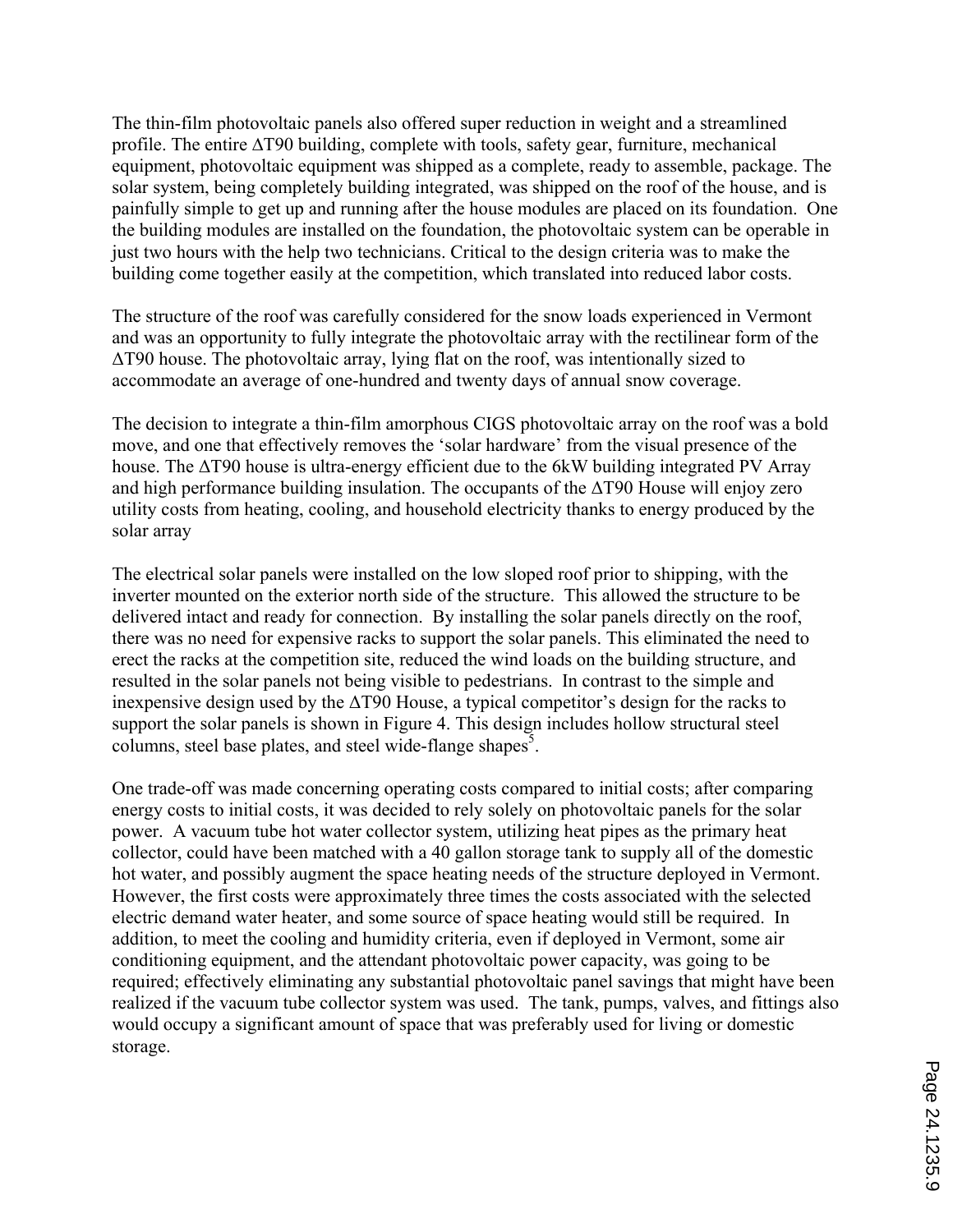The thin-film photovoltaic panels also offered super reduction in weight and a streamlined profile. The entire ∆T90 building, complete with tools, safety gear, furniture, mechanical equipment, photovoltaic equipment was shipped as a complete, ready to assemble, package. The solar system, being completely building integrated, was shipped on the roof of the house, and is painfully simple to get up and running after the house modules are placed on its foundation. One the building modules are installed on the foundation, the photovoltaic system can be operable in just two hours with the help two technicians. Critical to the design criteria was to make the building come together easily at the competition, which translated into reduced labor costs.

The structure of the roof was carefully considered for the snow loads experienced in Vermont and was an opportunity to fully integrate the photovoltaic array with the rectilinear form of the ΔT90 house. The photovoltaic array, lying flat on the roof, was intentionally sized to accommodate an average of one-hundred and twenty days of annual snow coverage.

The decision to integrate a thin-film amorphous CIGS photovoltaic array on the roof was a bold move, and one that effectively removes the 'solar hardware' from the visual presence of the house. The ΔT90 house is ultra-energy efficient due to the 6kW building integrated PV Array and high performance building insulation. The occupants of the ΔT90 House will enjoy zero utility costs from heating, cooling, and household electricity thanks to energy produced by the solar array

The electrical solar panels were installed on the low sloped roof prior to shipping, with the inverter mounted on the exterior north side of the structure. This allowed the structure to be delivered intact and ready for connection. By installing the solar panels directly on the roof, there was no need for expensive racks to support the solar panels. This eliminated the need to erect the racks at the competition site, reduced the wind loads on the building structure, and resulted in the solar panels not being visible to pedestrians. In contrast to the simple and inexpensive design used by the ΔT90 House, a typical competitor's design for the racks to support the solar panels is shown in Figure 4. This design includes hollow structural steel columns, steel base plates, and steel wide-flange shapes<sup>5</sup>.

One trade-off was made concerning operating costs compared to initial costs; after comparing energy costs to initial costs, it was decided to rely solely on photovoltaic panels for the solar power. A vacuum tube hot water collector system, utilizing heat pipes as the primary heat collector, could have been matched with a 40 gallon storage tank to supply all of the domestic hot water, and possibly augment the space heating needs of the structure deployed in Vermont. However, the first costs were approximately three times the costs associated with the selected electric demand water heater, and some source of space heating would still be required. In addition, to meet the cooling and humidity criteria, even if deployed in Vermont, some air conditioning equipment, and the attendant photovoltaic power capacity, was going to be required; effectively eliminating any substantial photovoltaic panel savings that might have been realized if the vacuum tube collector system was used. The tank, pumps, valves, and fittings also would occupy a significant amount of space that was preferably used for living or domestic storage.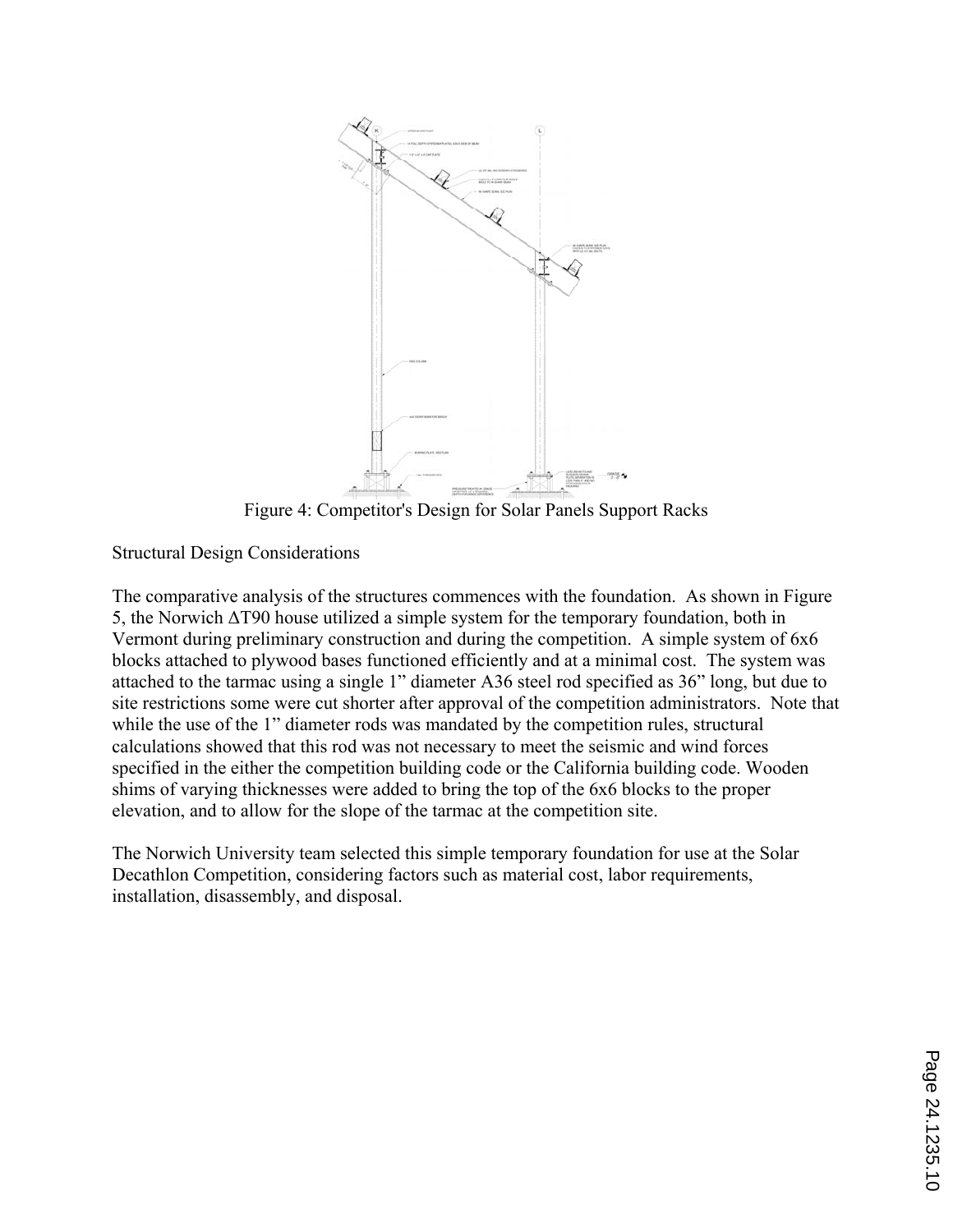

Figure 4: Competitor's Design for Solar Panels Support Racks

Structural Design Considerations

The comparative analysis of the structures commences with the foundation. As shown in Figure 5, the Norwich ΔT90 house utilized a simple system for the temporary foundation, both in Vermont during preliminary construction and during the competition. A simple system of 6x6 blocks attached to plywood bases functioned efficiently and at a minimal cost. The system was attached to the tarmac using a single 1" diameter A36 steel rod specified as 36" long, but due to site restrictions some were cut shorter after approval of the competition administrators. Note that while the use of the 1" diameter rods was mandated by the competition rules, structural calculations showed that this rod was not necessary to meet the seismic and wind forces specified in the either the competition building code or the California building code. Wooden shims of varying thicknesses were added to bring the top of the 6x6 blocks to the proper elevation, and to allow for the slope of the tarmac at the competition site.

The Norwich University team selected this simple temporary foundation for use at the Solar Decathlon Competition, considering factors such as material cost, labor requirements, installation, disassembly, and disposal.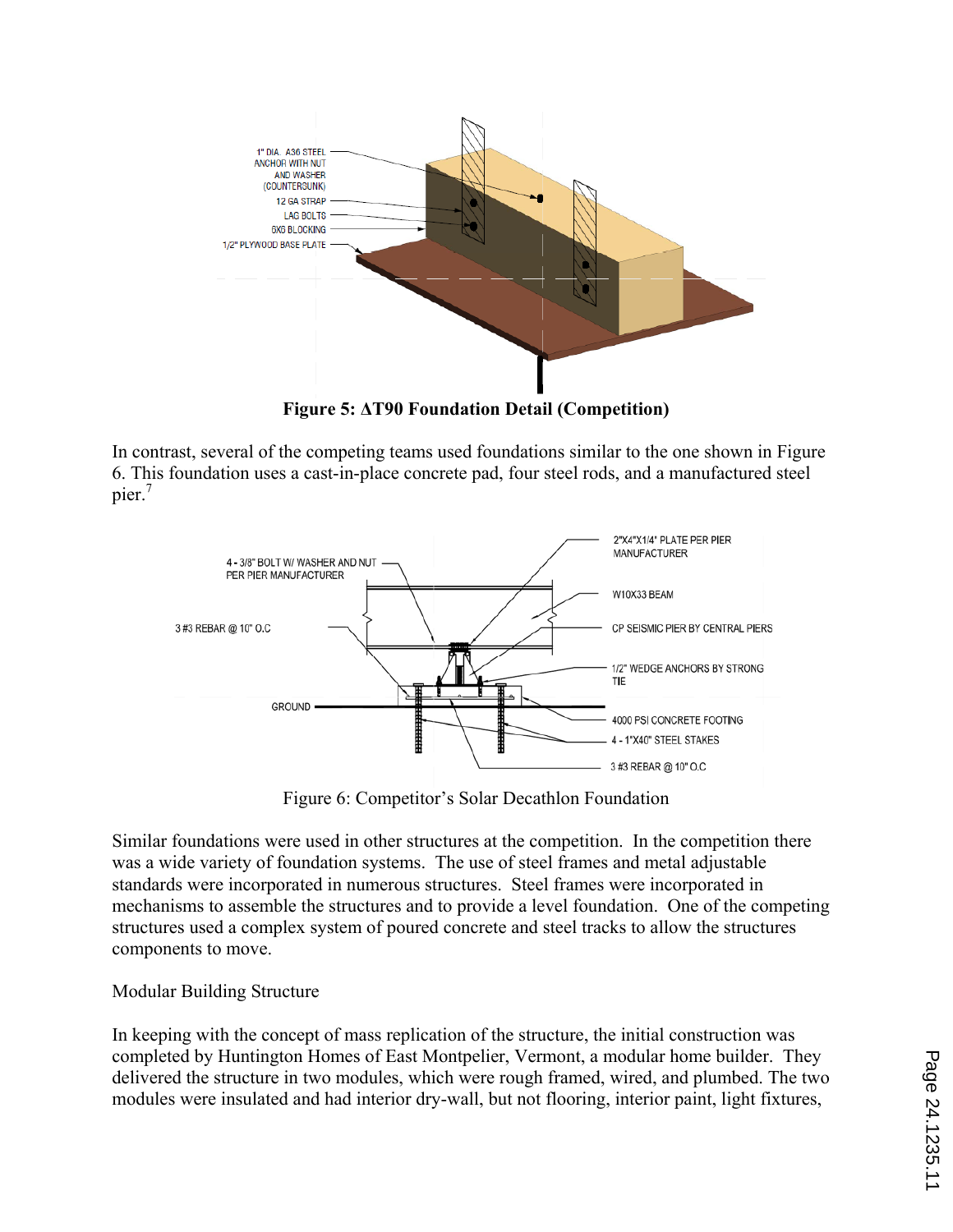

**Figure 5: ΔT90 Foundation Detail (Competition)** 

In contrast, several of the competing teams used foundations similar to the one shown in Figure 6. This foundation uses a cast-in-place concrete pad, four steel rods, and a manufactured steel pier.<sup>7</sup>



Figure 6: Competitor's Solar Decathlon Foundation

Similar foundations were used in other structures at the competition. In the competition there was a wide variety of foundation systems. The use of steel frames and metal adjustable standards were incorporated in numerous structures. Steel frames were incorporated in mechanisms to assemble the structures and to provide a level foundation. One of the competing structures used a complex system of poured concrete and steel tracks to allow the structures components to move.

## Modular Building Structure

In keeping with the concept of mass replication of the structure, the initial construction was completed by Huntington Homes of East Montpelier, Vermont, a modular home builder. They delivered the structure in two modules, which were rough framed, wired, and plumbed. The two modules were insulated and had interior dry-wall, but not flooring, interior paint, light fixtures,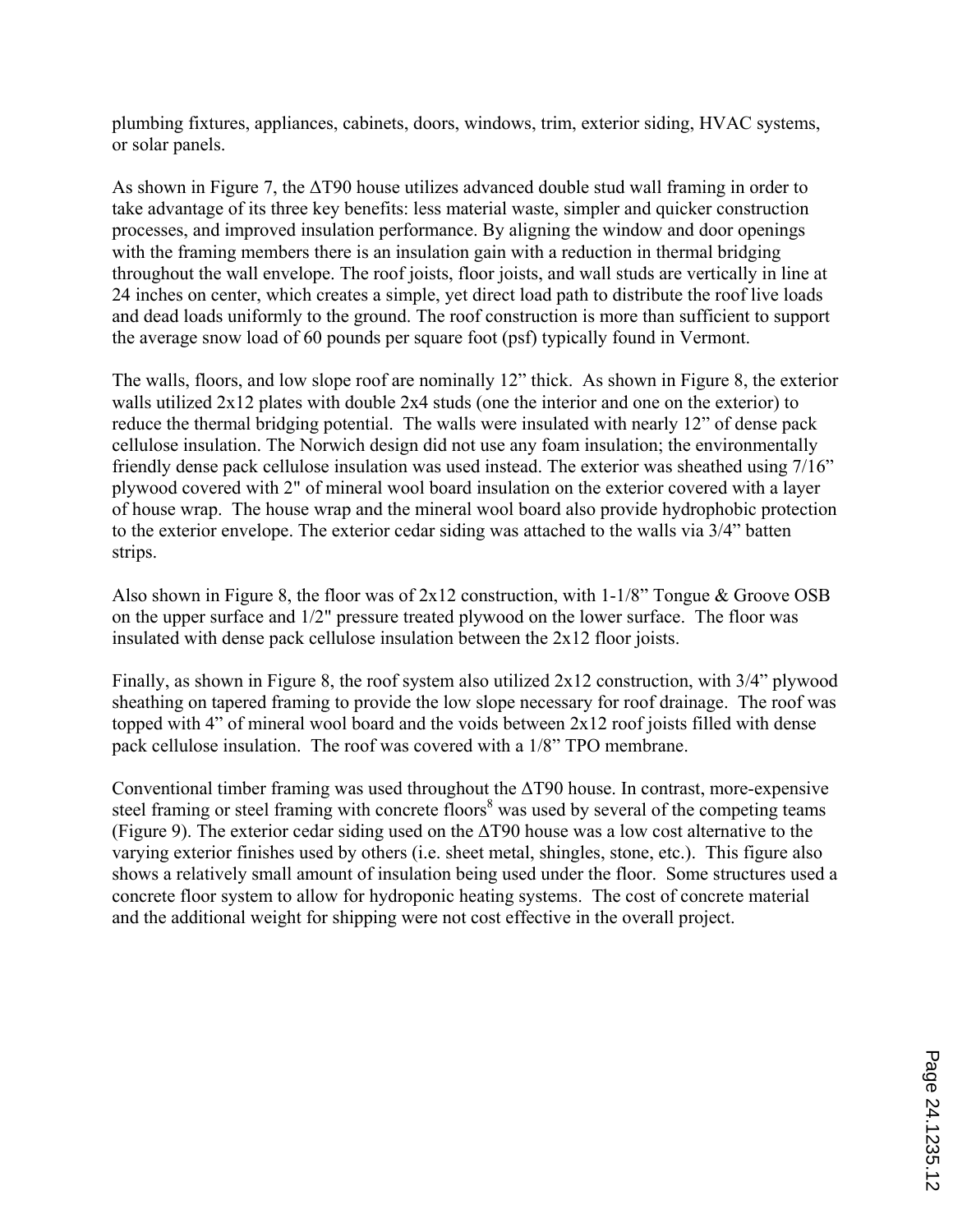plumbing fixtures, appliances, cabinets, doors, windows, trim, exterior siding, HVAC systems, or solar panels.

As shown in Figure 7, the ΔT90 house utilizes advanced double stud wall framing in order to take advantage of its three key benefits: less material waste, simpler and quicker construction processes, and improved insulation performance. By aligning the window and door openings with the framing members there is an insulation gain with a reduction in thermal bridging throughout the wall envelope. The roof joists, floor joists, and wall studs are vertically in line at 24 inches on center, which creates a simple, yet direct load path to distribute the roof live loads and dead loads uniformly to the ground. The roof construction is more than sufficient to support the average snow load of 60 pounds per square foot (psf) typically found in Vermont.

The walls, floors, and low slope roof are nominally 12" thick. As shown in Figure 8, the exterior walls utilized  $2x12$  plates with double  $2x4$  studs (one the interior and one on the exterior) to reduce the thermal bridging potential. The walls were insulated with nearly 12" of dense pack cellulose insulation. The Norwich design did not use any foam insulation; the environmentally friendly dense pack cellulose insulation was used instead. The exterior was sheathed using 7/16" plywood covered with 2" of mineral wool board insulation on the exterior covered with a layer of house wrap. The house wrap and the mineral wool board also provide hydrophobic protection to the exterior envelope. The exterior cedar siding was attached to the walls via 3/4" batten strips.

Also shown in Figure 8, the floor was of  $2x12$  construction, with  $1-1/8$ " Tongue & Groove OSB on the upper surface and 1/2" pressure treated plywood on the lower surface. The floor was insulated with dense pack cellulose insulation between the 2x12 floor joists.

Finally, as shown in Figure 8, the roof system also utilized 2x12 construction, with 3/4" plywood sheathing on tapered framing to provide the low slope necessary for roof drainage. The roof was topped with 4" of mineral wool board and the voids between 2x12 roof joists filled with dense pack cellulose insulation. The roof was covered with a 1/8" TPO membrane.

Conventional timber framing was used throughout the ΔT90 house. In contrast, more-expensive steel framing or steel framing with concrete floors<sup>8</sup> was used by several of the competing teams (Figure 9). The exterior cedar siding used on the ΔT90 house was a low cost alternative to the varying exterior finishes used by others (i.e. sheet metal, shingles, stone, etc.). This figure also shows a relatively small amount of insulation being used under the floor. Some structures used a concrete floor system to allow for hydroponic heating systems. The cost of concrete material and the additional weight for shipping were not cost effective in the overall project.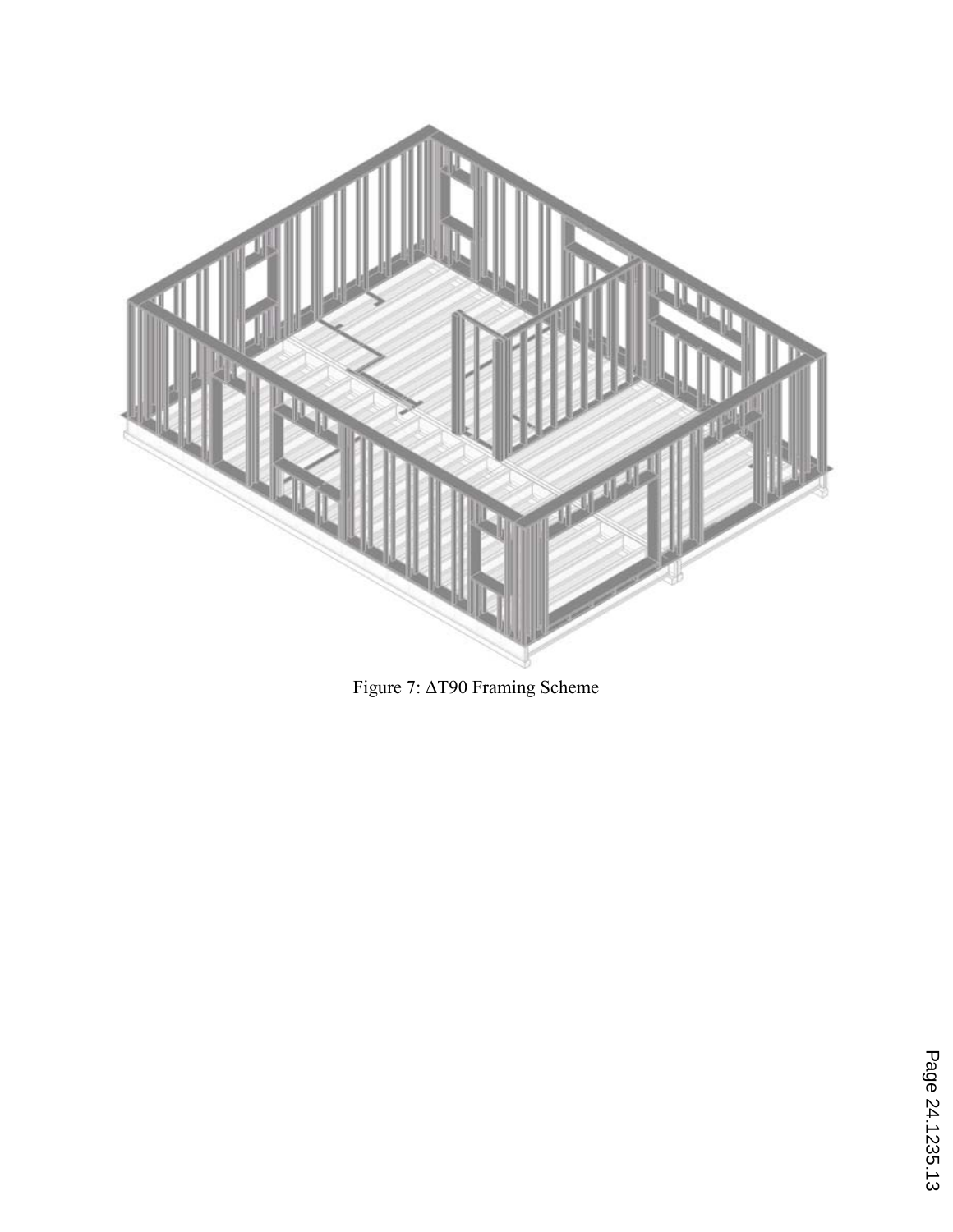

Figure 7: ΔT90 Framing Scheme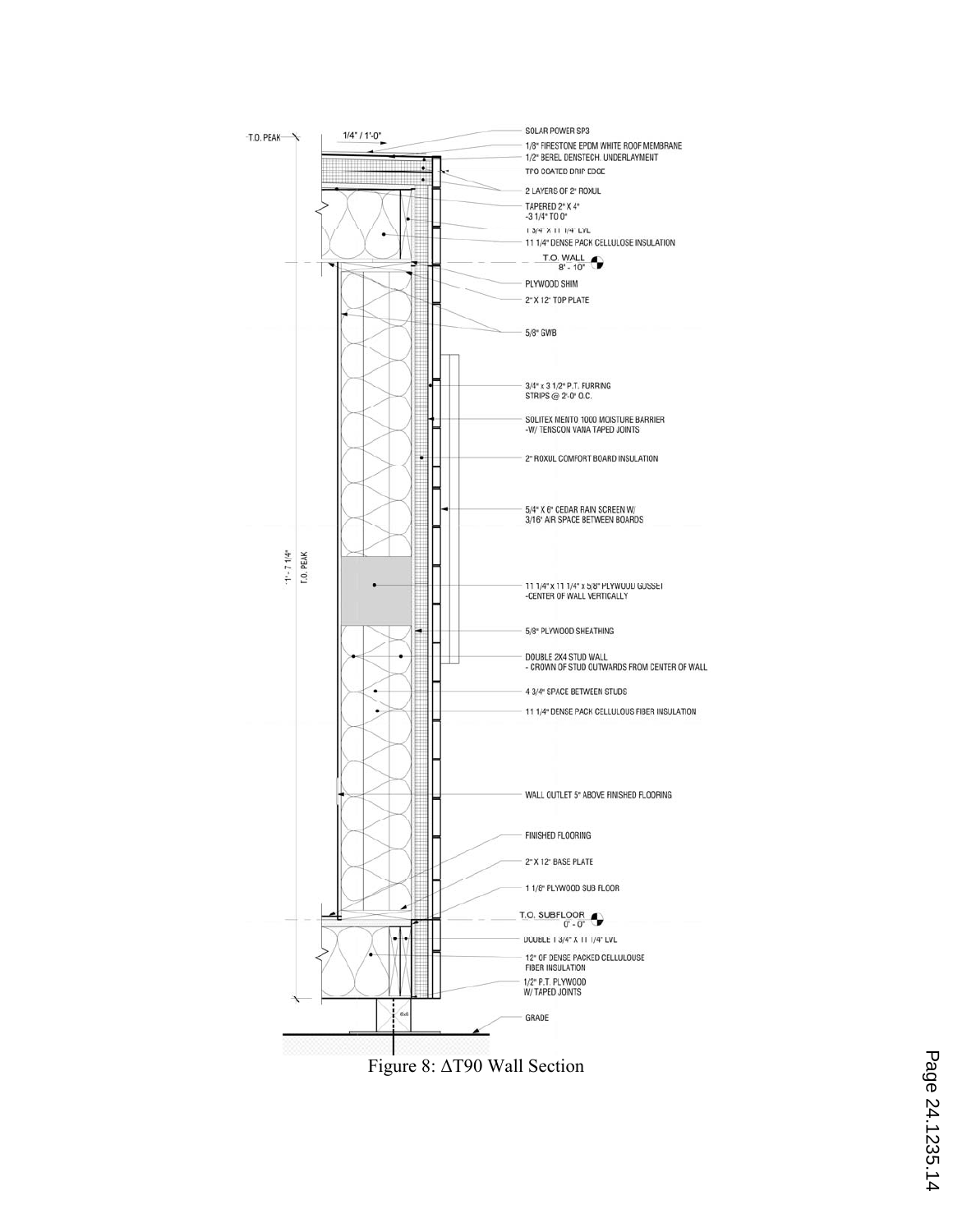

Figure 8: ΔT90 Wall Section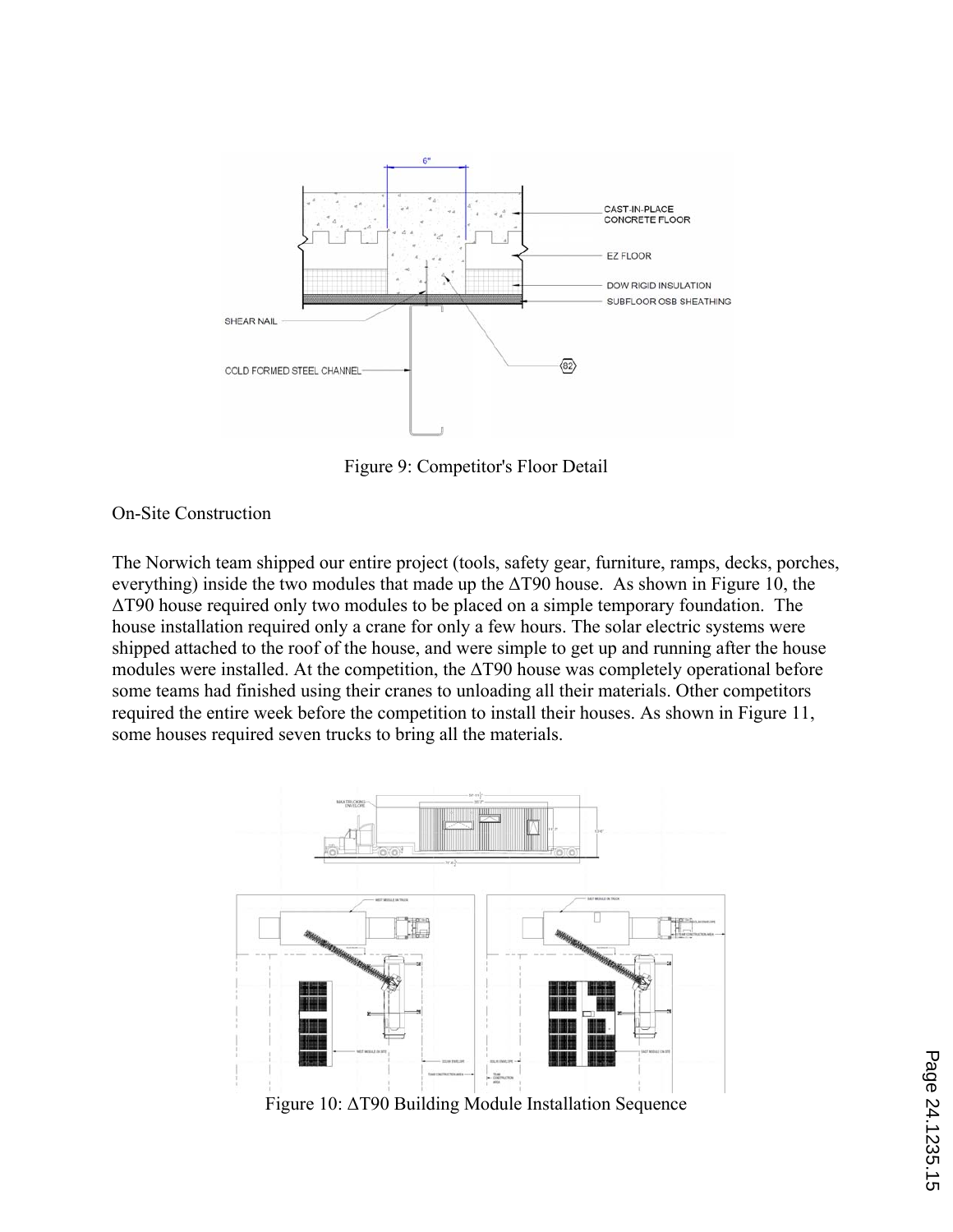

Figure 9: Competitor's Floor Detail

On-Site Construction

The Norwich team shipped our entire project (tools, safety gear, furniture, ramps, decks, porches, everything) inside the two modules that made up the  $\Delta$ T90 house. As shown in Figure 10, the ΔT90 house required only two modules to be placed on a simple temporary foundation. The house installation required only a crane for only a few hours. The solar electric systems were shipped attached to the roof of the house, and were simple to get up and running after the house modules were installed. At the competition, the  $\Delta$ T90 house was completely operational before some teams had finished using their cranes to unloading all their materials. Other competitors required the entire week before the competition to install their houses. As shown in Figure 11, some houses required seven trucks to bring all the materials.



Figure 10: ΔT90 Building Module Installation Sequence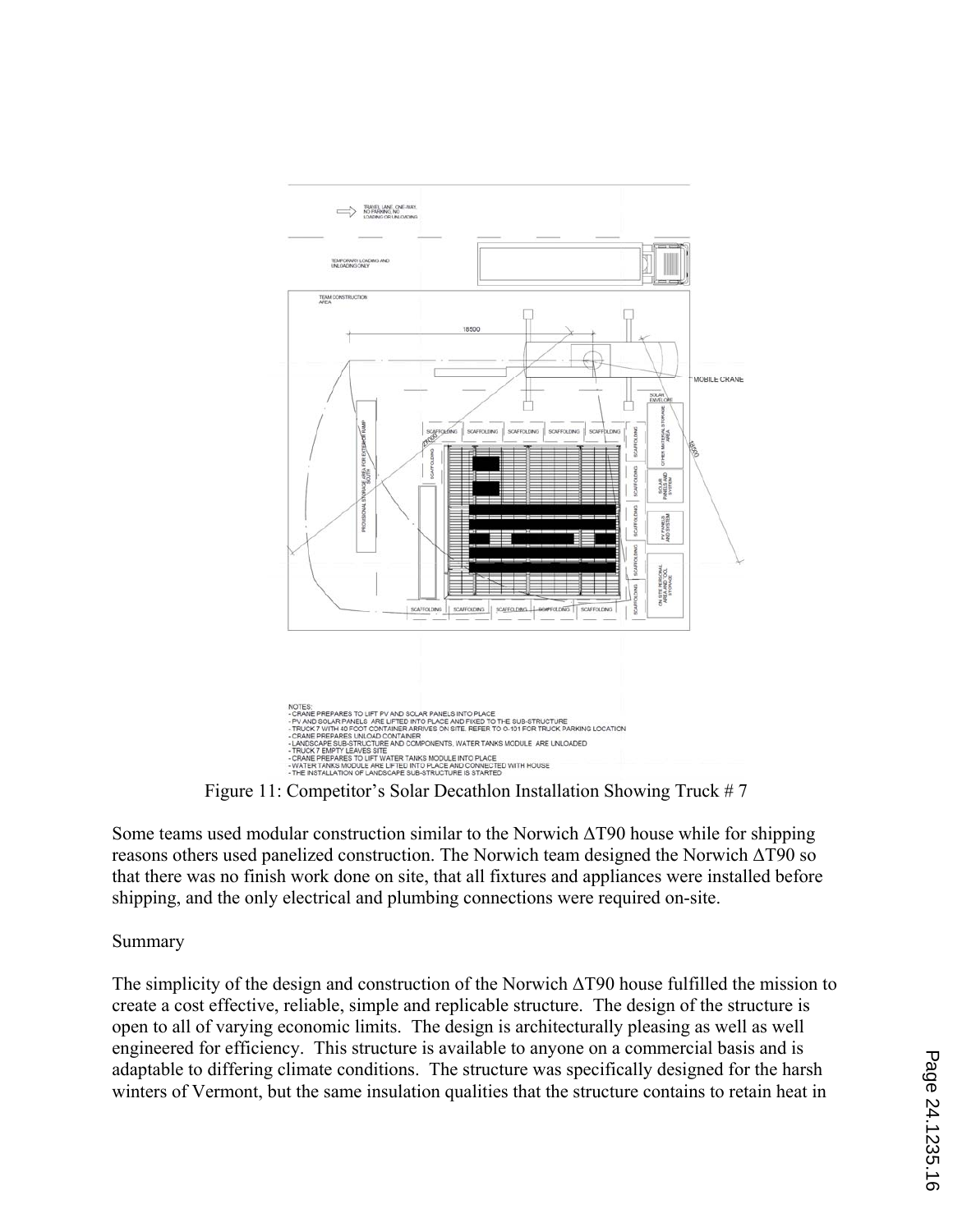

Figure 11: Competitor's Solar Decathlon Installation Showing Truck # 7

Some teams used modular construction similar to the Norwich ΔT90 house while for shipping reasons others used panelized construction. The Norwich team designed the Norwich ΔT90 so that there was no finish work done on site, that all fixtures and appliances were installed before shipping, and the only electrical and plumbing connections were required on-site.

## Summary

The simplicity of the design and construction of the Norwich ΔT90 house fulfilled the mission to create a cost effective, reliable, simple and replicable structure. The design of the structure is open to all of varying economic limits. The design is architecturally pleasing as well as well engineered for efficiency. This structure is available to anyone on a commercial basis and is adaptable to differing climate conditions. The structure was specifically designed for the harsh winters of Vermont, but the same insulation qualities that the structure contains to retain heat in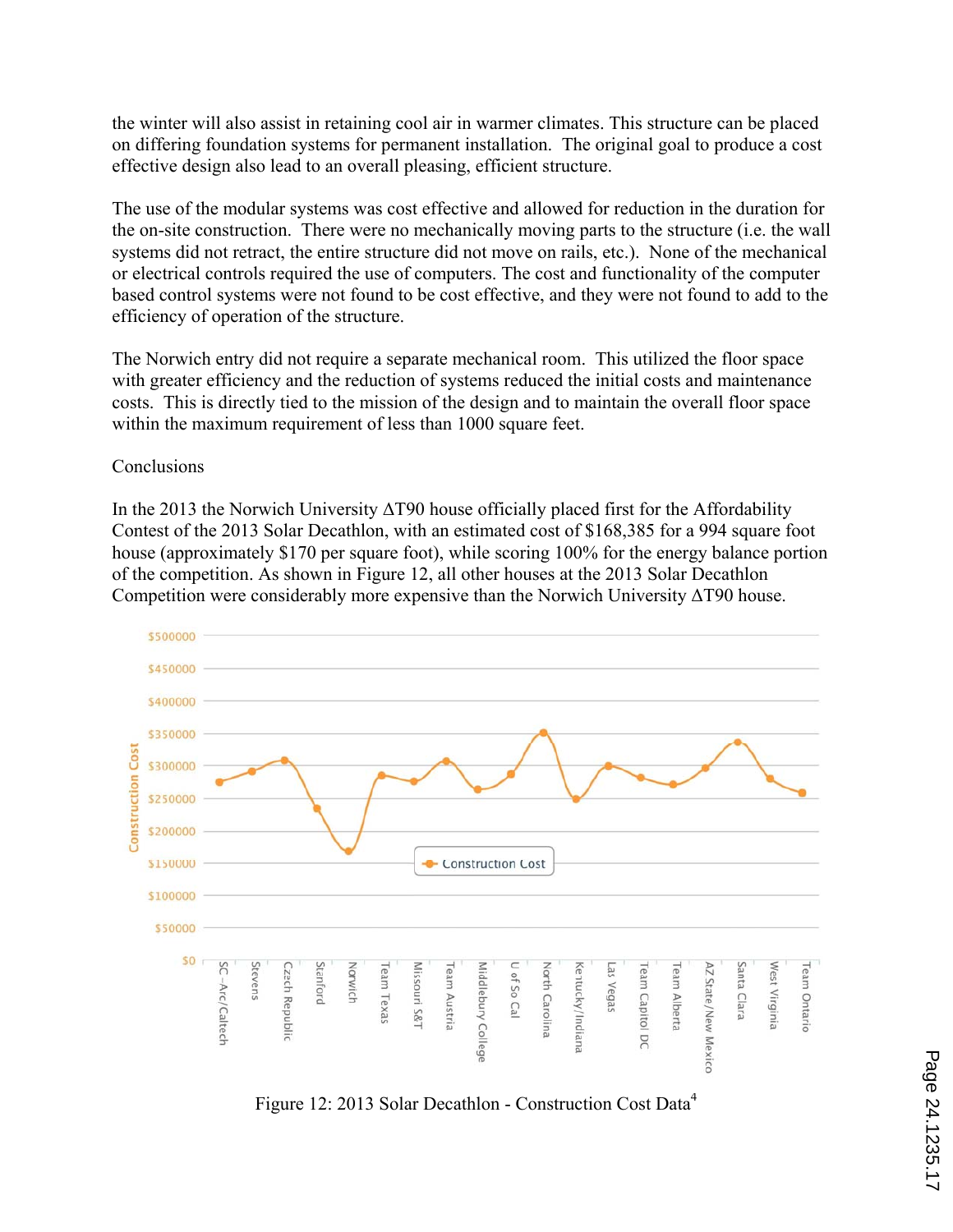the winter will also assist in retaining cool air in warmer climates. This structure can be placed on differing foundation systems for permanent installation. The original goal to produce a cost effective design also lead to an overall pleasing, efficient structure.

The use of the modular systems was cost effective and allowed for reduction in the duration for the on-site construction. There were no mechanically moving parts to the structure (i.e. the wall systems did not retract, the entire structure did not move on rails, etc.). None of the mechanical or electrical controls required the use of computers. The cost and functionality of the computer based control systems were not found to be cost effective, and they were not found to add to the efficiency of operation of the structure.

The Norwich entry did not require a separate mechanical room. This utilized the floor space with greater efficiency and the reduction of systems reduced the initial costs and maintenance costs. This is directly tied to the mission of the design and to maintain the overall floor space within the maximum requirement of less than 1000 square feet.

Conclusions

In the 2013 the Norwich University  $\Delta$ T90 house officially placed first for the Affordability Contest of the 2013 Solar Decathlon, with an estimated cost of \$168,385 for a 994 square foot house (approximately \$170 per square foot), while scoring 100% for the energy balance portion of the competition. As shown in Figure 12, all other houses at the 2013 Solar Decathlon Competition were considerably more expensive than the Norwich University ΔT90 house.



Figure 12: 2013 Solar Decathlon - Construction Cost Data4